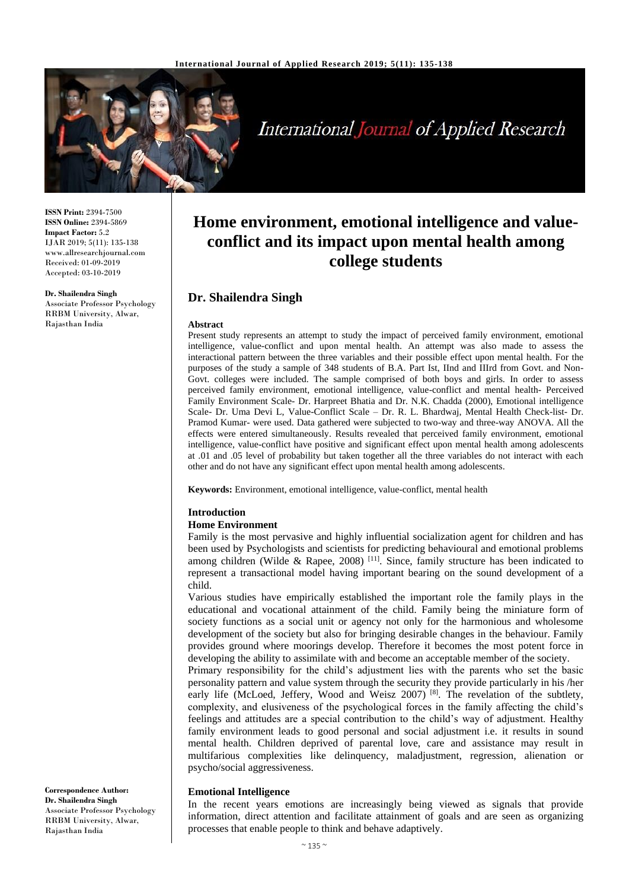

# **International Journal of Applied Research**

**ISSN Print:** 2394-7500 **ISSN Online:** 2394-5869 **Impact Factor:** 5.2 IJAR 2019; 5(11): 135-138 www.allresearchjournal.com Received: 01-09-2019 Accepted: 03-10-2019

**Dr. Shailendra Singh** Associate Professor Psychology RRBM University, Alwar, Rajasthan India

## **Home environment, emotional intelligence and valueconflict and its impact upon mental health among college students**

## **Dr. Shailendra Singh**

#### **Abstract**

Present study represents an attempt to study the impact of perceived family environment, emotional intelligence, value-conflict and upon mental health. An attempt was also made to assess the interactional pattern between the three variables and their possible effect upon mental health. For the purposes of the study a sample of 348 students of B.A. Part Ist, IInd and IIIrd from Govt. and Non-Govt. colleges were included. The sample comprised of both boys and girls. In order to assess perceived family environment, emotional intelligence, value-conflict and mental health- Perceived Family Environment Scale- Dr. Harpreet Bhatia and Dr. N.K. Chadda (2000), Emotional intelligence Scale- Dr. Uma Devi L, Value-Conflict Scale – Dr. R. L. Bhardwaj, Mental Health Check-list- Dr. Pramod Kumar- were used. Data gathered were subjected to two-way and three-way ANOVA. All the effects were entered simultaneously. Results revealed that perceived family environment, emotional intelligence, value-conflict have positive and significant effect upon mental health among adolescents at .01 and .05 level of probability but taken together all the three variables do not interact with each other and do not have any significant effect upon mental health among adolescents.

**Keywords:** Environment, emotional intelligence, value-conflict, mental health

#### **Introduction**

#### **Home Environment**

Family is the most pervasive and highly influential socialization agent for children and has been used by Psychologists and scientists for predicting behavioural and emotional problems among children (Wilde & Rapee, 2008)  $^{[11]}$ . Since, family structure has been indicated to represent a transactional model having important bearing on the sound development of a child.

Various studies have empirically established the important role the family plays in the educational and vocational attainment of the child. Family being the miniature form of society functions as a social unit or agency not only for the harmonious and wholesome development of the society but also for bringing desirable changes in the behaviour. Family provides ground where moorings develop. Therefore it becomes the most potent force in developing the ability to assimilate with and become an acceptable member of the society.

Primary responsibility for the child's adjustment lies with the parents who set the basic personality pattern and value system through the security they provide particularly in his /her early life (McLoed, Jeffery, Wood and Weisz 2007)<sup>[8]</sup>. The revelation of the subtlety, complexity, and elusiveness of the psychological forces in the family affecting the child's feelings and attitudes are a special contribution to the child's way of adjustment. Healthy family environment leads to good personal and social adjustment i.e. it results in sound mental health. Children deprived of parental love, care and assistance may result in multifarious complexities like delinquency, maladjustment, regression, alienation or psycho/social aggressiveness.

#### **Emotional Intelligence**

In the recent years emotions are increasingly being viewed as signals that provide information, direct attention and facilitate attainment of goals and are seen as organizing processes that enable people to think and behave adaptively.

**Correspondence Author: Dr. Shailendra Singh** Associate Professor Psychology RRBM University, Alwar, Rajasthan India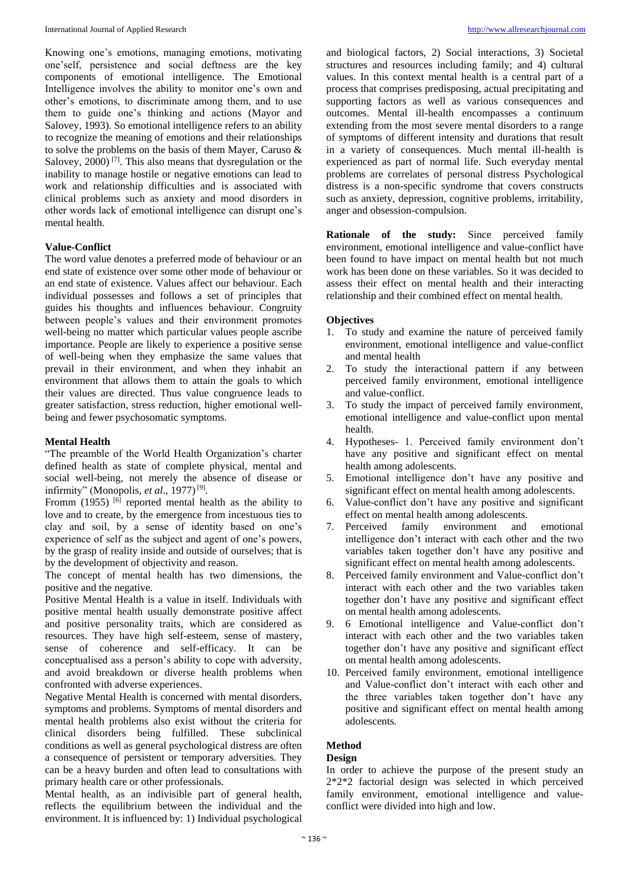Knowing one's emotions, managing emotions, motivating one'self, persistence and social deftness are the key components of emotional intelligence. The Emotional Intelligence involves the ability to monitor one's own and other's emotions, to discriminate among them, and to use them to guide one's thinking and actions (Mayor and Salovey, 1993). So emotional intelligence refers to an ability to recognize the meaning of emotions and their relationships to solve the problems on the basis of them Mayer, Caruso & Salovey,  $2000$ <sup>[7]</sup>. This also means that dysregulation or the inability to manage hostile or negative emotions can lead to work and relationship difficulties and is associated with clinical problems such as anxiety and mood disorders in other words lack of emotional intelligence can disrupt one's mental health.

#### **Value-Conflict**

The word value denotes a preferred mode of behaviour or an end state of existence over some other mode of behaviour or an end state of existence. Values affect our behaviour. Each individual possesses and follows a set of principles that guides his thoughts and influences behaviour. Congruity between people's values and their environment promotes well-being no matter which particular values people ascribe importance. People are likely to experience a positive sense of well-being when they emphasize the same values that prevail in their environment, and when they inhabit an environment that allows them to attain the goals to which their values are directed. Thus value congruence leads to greater satisfaction, stress reduction, higher emotional wellbeing and fewer psychosomatic symptoms.

#### **Mental Health**

"The preamble of the World Health Organization's charter defined health as state of complete physical, mental and social well-being, not merely the absence of disease or infirmity" (Monopolis, et al., 1977)<sup>[9]</sup>.

Fromm  $(1955)$  <sup>[6]</sup> reported mental health as the ability to love and to create, by the emergence from incestuous ties to clay and soil, by a sense of identity based on one's experience of self as the subject and agent of one's powers, by the grasp of reality inside and outside of ourselves; that is by the development of objectivity and reason.

The concept of mental health has two dimensions, the positive and the negative.

Positive Mental Health is a value in itself. Individuals with positive mental health usually demonstrate positive affect and positive personality traits, which are considered as resources. They have high self-esteem, sense of mastery, sense of coherence and self-efficacy. It can be conceptualised ass a person's ability to cope with adversity, and avoid breakdown or diverse health problems when confronted with adverse experiences.

Negative Mental Health is concerned with mental disorders, symptoms and problems. Symptoms of mental disorders and mental health problems also exist without the criteria for clinical disorders being fulfilled. These subclinical conditions as well as general psychological distress are often a consequence of persistent or temporary adversities. They can be a heavy burden and often lead to consultations with primary health care or other professionals.

Mental health, as an indivisible part of general health, reflects the equilibrium between the individual and the environment. It is influenced by: 1) Individual psychological and biological factors, 2) Social interactions, 3) Societal structures and resources including family; and 4) cultural values. In this context mental health is a central part of a process that comprises predisposing, actual precipitating and supporting factors as well as various consequences and outcomes. Mental ill-health encompasses a continuum extending from the most severe mental disorders to a range of symptoms of different intensity and durations that result in a variety of consequences. Much mental ill-health is experienced as part of normal life. Such everyday mental problems are correlates of personal distress Psychological distress is a non-specific syndrome that covers constructs such as anxiety, depression, cognitive problems, irritability, anger and obsession-compulsion.

**Rationale of the study:** Since perceived family environment, emotional intelligence and value-conflict have been found to have impact on mental health but not much work has been done on these variables. So it was decided to assess their effect on mental health and their interacting relationship and their combined effect on mental health.

#### **Objectives**

- 1. To study and examine the nature of perceived family environment, emotional intelligence and value-conflict and mental health
- 2. To study the interactional pattern if any between perceived family environment, emotional intelligence and value-conflict.
- 3. To study the impact of perceived family environment, emotional intelligence and value-conflict upon mental health.
- 4. Hypotheses- 1. Perceived family environment don't have any positive and significant effect on mental health among adolescents.
- 5. Emotional intelligence don't have any positive and significant effect on mental health among adolescents.
- 6. Value-conflict don't have any positive and significant effect on mental health among adolescents.<br>Perceived family environment and
- 7. Perceived family environment and emotional intelligence don't interact with each other and the two variables taken together don't have any positive and significant effect on mental health among adolescents.
- 8. Perceived family environment and Value-conflict don't interact with each other and the two variables taken together don't have any positive and significant effect on mental health among adolescents.
- 9. 6 Emotional intelligence and Value-conflict don't interact with each other and the two variables taken together don't have any positive and significant effect on mental health among adolescents.
- 10. Perceived family environment, emotional intelligence and Value-conflict don't interact with each other and the three variables taken together don't have any positive and significant effect on mental health among adolescents.

#### **Method**

#### **Design**

In order to achieve the purpose of the present study an 2\*2\*2 factorial design was selected in which perceived family environment, emotional intelligence and valueconflict were divided into high and low.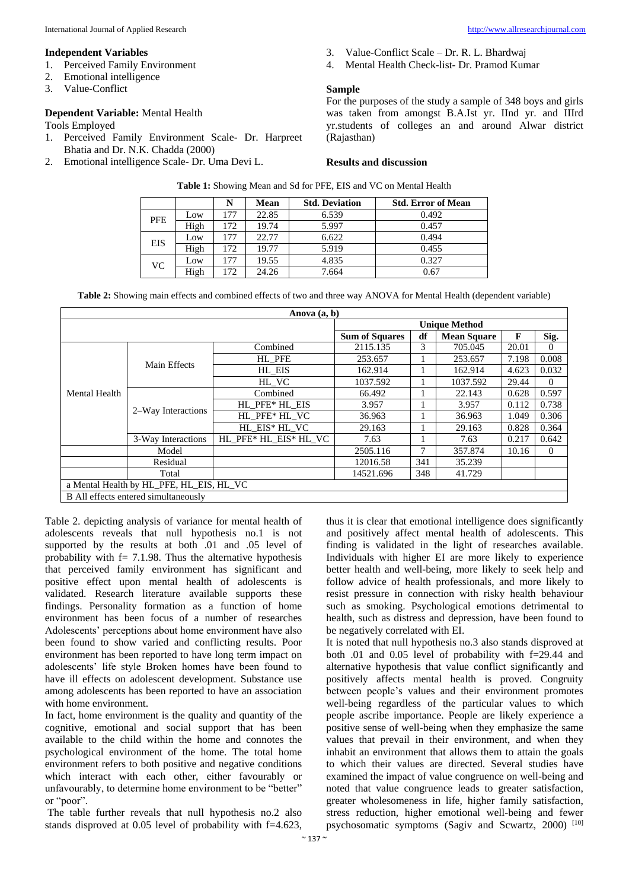## **Independent Variables**

- 1. Perceived Family Environment
- 2. Emotional intelligence
- 3. Value-Conflict

## **Dependent Variable:** Mental Health

Tools Employed

- 1. Perceived Family Environment Scale- Dr. Harpreet Bhatia and Dr. N.K. Chadda (2000)
- 2. Emotional intelligence Scale- Dr. Uma Devi L.
- 3. Value-Conflict Scale Dr. R. L. Bhardwaj
- 4. Mental Health Check-list- Dr. Pramod Kumar

### **Sample**

For the purposes of the study a sample of 348 boys and girls was taken from amongst B.A.Ist yr. IInd yr. and IIIrd yr.students of colleges an and around Alwar district (Rajasthan)

#### **Results and discussion**

|            |      |     | Mean  | <b>Std. Deviation</b> | <b>Std. Error of Mean</b> |
|------------|------|-----|-------|-----------------------|---------------------------|
| <b>PFE</b> | Low  | 177 | 22.85 | 6.539                 | 0.492                     |
|            | High | 172 | 19.74 | 5.997                 | 0.457                     |
| EIS        | Low  | 177 | 22.77 | 6.622                 | 0.494                     |
|            | High | 172 | 19.77 | 5.919                 | 0.455                     |
| VC         | Low  | 177 | 19.55 | 4.835                 | 0.327                     |
|            | High | 172 | 24.26 | 7.664                 | 0.67                      |

**Table 1:** Showing Mean and Sd for PFE, EIS and VC on Mental Health

**Table 2:** Showing main effects and combined effects of two and three way ANOVA for Mental Health (dependent variable)

| Anova $(a, b)$                       |                                          |                       |                       |     |                    |       |                |  |  |  |  |
|--------------------------------------|------------------------------------------|-----------------------|-----------------------|-----|--------------------|-------|----------------|--|--|--|--|
|                                      | <b>Unique Method</b>                     |                       |                       |     |                    |       |                |  |  |  |  |
|                                      |                                          |                       | <b>Sum of Squares</b> | df  | <b>Mean Square</b> | F     | Sig.           |  |  |  |  |
| <b>Mental Health</b>                 |                                          | Combined              | 2115.135              | 3   | 705.045            | 20.01 | 0              |  |  |  |  |
|                                      | Main Effects                             | HL PFE                | 253.657               |     | 253.657            | 7.198 | 0.008          |  |  |  |  |
|                                      |                                          | HL EIS                | 162.914               |     | 162.914            | 4.623 | 0.032          |  |  |  |  |
|                                      |                                          | HL VC                 | 1037.592              |     | 1037.592           | 29.44 | $\Omega$       |  |  |  |  |
|                                      |                                          | Combined              | 66.492                |     | 22.143             | 0.628 | 0.597          |  |  |  |  |
|                                      |                                          | HL PFE* HL EIS        | 3.957                 |     | 3.957              | 0.112 | 0.738          |  |  |  |  |
|                                      | 2–Way Interactions                       | HL PFE* HL VC         | 36.963                |     | 36.963             | 1.049 | 0.306          |  |  |  |  |
|                                      |                                          | HL_EIS* HL_VC         | 29.163                |     | 29.163             | 0.828 | 0.364          |  |  |  |  |
|                                      | 3-Way Interactions                       | HL PFE* HL EIS* HL VC | 7.63                  |     | 7.63               | 0.217 | 0.642          |  |  |  |  |
|                                      | Model                                    |                       | 2505.116              | 7   | 357.874            | 10.16 | $\overline{0}$ |  |  |  |  |
|                                      | Residual                                 |                       | 12016.58              | 341 | 35.239             |       |                |  |  |  |  |
|                                      | Total                                    |                       | 14521.696             | 348 | 41.729             |       |                |  |  |  |  |
|                                      | a Mental Health by HL PFE, HL EIS, HL VC |                       |                       |     |                    |       |                |  |  |  |  |
| B All effects entered simultaneously |                                          |                       |                       |     |                    |       |                |  |  |  |  |

Table 2. depicting analysis of variance for mental health of adolescents reveals that null hypothesis no.1 is not supported by the results at both .01 and .05 level of probability with  $f = 7.1.98$ . Thus the alternative hypothesis that perceived family environment has significant and positive effect upon mental health of adolescents is validated. Research literature available supports these findings. Personality formation as a function of home environment has been focus of a number of researches Adolescents' perceptions about home environment have also been found to show varied and conflicting results. Poor environment has been reported to have long term impact on adolescents' life style Broken homes have been found to have ill effects on adolescent development. Substance use among adolescents has been reported to have an association with home environment.

In fact, home environment is the quality and quantity of the cognitive, emotional and social support that has been available to the child within the home and connotes the psychological environment of the home. The total home environment refers to both positive and negative conditions which interact with each other, either favourably or unfavourably, to determine home environment to be "better" or "poor".

The table further reveals that null hypothesis no.2 also stands disproved at 0.05 level of probability with f=4.623,

thus it is clear that emotional intelligence does significantly and positively affect mental health of adolescents. This finding is validated in the light of researches available. Individuals with higher EI are more likely to experience better health and well-being, more likely to seek help and follow advice of health professionals, and more likely to resist pressure in connection with risky health behaviour such as smoking. Psychological emotions detrimental to health, such as distress and depression, have been found to be negatively correlated with EI.

It is noted that null hypothesis no.3 also stands disproved at both .01 and 0.05 level of probability with f=29.44 and alternative hypothesis that value conflict significantly and positively affects mental health is proved. Congruity between people's values and their environment promotes well-being regardless of the particular values to which people ascribe importance. People are likely experience a positive sense of well-being when they emphasize the same values that prevail in their environment, and when they inhabit an environment that allows them to attain the goals to which their values are directed. Several studies have examined the impact of value congruence on well-being and noted that value congruence leads to greater satisfaction, greater wholesomeness in life, higher family satisfaction, stress reduction, higher emotional well-being and fewer psychosomatic symptoms (Sagiv and Scwartz, 2000)<sup>[10]</sup>